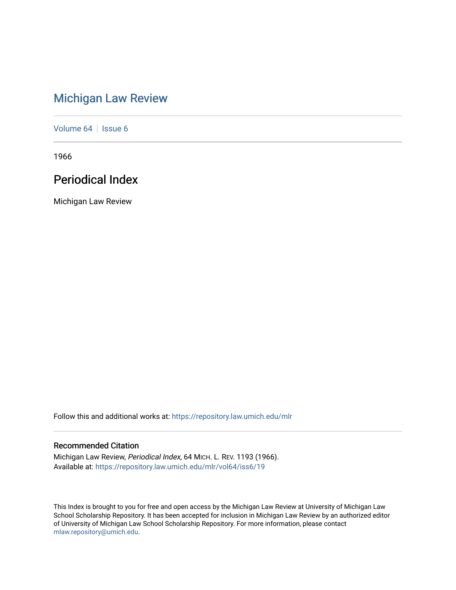# [Michigan Law Review](https://repository.law.umich.edu/mlr)

[Volume 64](https://repository.law.umich.edu/mlr/vol64) | [Issue 6](https://repository.law.umich.edu/mlr/vol64/iss6)

1966

# Periodical Index

Michigan Law Review

Follow this and additional works at: [https://repository.law.umich.edu/mlr](https://repository.law.umich.edu/mlr?utm_source=repository.law.umich.edu%2Fmlr%2Fvol64%2Fiss6%2F19&utm_medium=PDF&utm_campaign=PDFCoverPages) 

# Recommended Citation

Michigan Law Review, Periodical Index, 64 MICH. L. REV. 1193 (1966). Available at: [https://repository.law.umich.edu/mlr/vol64/iss6/19](https://repository.law.umich.edu/mlr/vol64/iss6/19?utm_source=repository.law.umich.edu%2Fmlr%2Fvol64%2Fiss6%2F19&utm_medium=PDF&utm_campaign=PDFCoverPages) 

This Index is brought to you for free and open access by the Michigan Law Review at University of Michigan Law School Scholarship Repository. It has been accepted for inclusion in Michigan Law Review by an authorized editor of University of Michigan Law School Scholarship Repository. For more information, please contact [mlaw.repository@umich.edu.](mailto:mlaw.repository@umich.edu)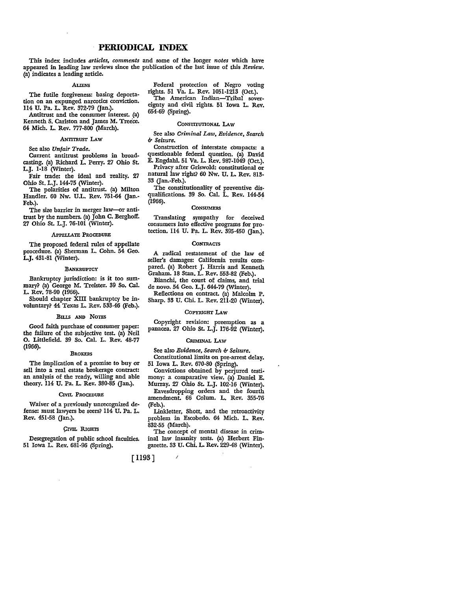# **PERIODICAL INDEX**

This index includes *articles, comments* and some of the longer *notes* which have appeared in leading law reviews since the publication of the last issue of this *Review.*  (a) indicates a leading article.

# ALIENS

The futile forgiveness: basing deportation on an expunged narcotics conviction. 114 U. Pa. L. Rev. 372-79 (Jan.).

Antitrust and the consumer interest. (a) Kenneth S. Carlston and James M. Treece. 64 Mich. L. Rev. 777-800 (March).

#### .ANTITRUST LAW

See also *Unfair Trade.* 

Current antitrust problems in broadcasting. (a) Richard L. Perry. 27 Ohio St. L.J. 1-18 (Winter).

Fair trade: the ideal and reality. 27 Ohio St. L.J.144-75 (Winter).

The polarities of antitrust. (a) Milton Handler. 60 Nw. U.L. Rev. 751-64 (Jan.-Feb.).

The size barrier in merger law-or antitrust by the numbers. (a) John C. Berghoff. 27 Ohio St. L.J. 76-101 (Winter).

#### APPELLATE PROCEDURE

The proposed federal rules of appellate procedure. (a) Sherman L. Cohn. 54 Geo. L.J. 431-81 (Winter).

# BANKRUPTCY

Bankruptcy jurisdiction: is it too summary? (a) George M. Treister. 39 So. Cal. L. Rev. 78-90 (1966).

Should chapter XIII bankruptcy be involuntary? 44 Texas L. Rev. 533-46 (Feb.).

# BILLS AND NoTES

Good faith purchase of consumer paper: the failure of the subjective test. (a) Neil 0. Littlefield. 39 So. Cal. L. Rev. 48-77 (1966).

#### **BROKERS**

The implication of a promise to buy or sell into a real estate brokerage contract: an analysis of the ready, willing and able theory. 114 U. Pa. L. Rev. 380-85 (Jan.).

#### CIVIL PROCEDURE

Waiver of a previously unrecognized defense: must lawyers be seers? 114 U. Pa. L. Rev. 451-58 (Jan.).

### CIVIL RIGHTS

Desegregation of public school faculties. 51 Iowa L. Rev. 681-96 (Spring).

Federal protection of Negro voting rights. 51 Va. L. Rev. 1051-1213 (Oct.). The American Indian-Tribal sovereignty and civil rights. 51 Iowa L. Rev. 654-69 (Spring).

#### CONSTITUTIONAL LAW

See also *Criminal Law, Evidence, Search*  ii' *Seizure.* 

Construction of interstate cbmpacts: a questionable federal question. (a) David E. Engdahl. 51 Va. L. Rev. 987-1049 (Oct.).

Privacy after Griswold: constitutional or natural law right? 60 Nw. U. L. Rev. 813- 33 (Jan.-Feb.).

The constitutionality of preventive disqualifications. 39 So. Cal. L. Rev. 144-54  $(1966).$ 

#### **CONSUMERS**

Translating sympathy for deceived consumers into effective programs for protection. 114 U. Pa. L. Rev. 395-450 Gan,).

#### **CONTRACTS**

A radical restatement of the law of seller's damages: California results compared. (a) Robert J. Harris and Kenneth Graham. 18 Stan. L. Rev. 553-82 (Feb.).

Bianchi, the court of claims, and trial de novo. 54 Geo. L.J. 644-79 (Winter).

Reflections on contract. (a) Malcolm P.

Sharp. 33 U. Chi. L. Rev. 211-20 (Winter).

# COPYRIGHT LAW

Copyright revision: preemption as a panacea. 27 Ohio St. L.J. 176-92 (Winter).

#### CRIMINAL LAW

See also *Evidence*, Search & Seizure.

Constitutional limits on pre-arrest delay. 51 Iowa L. Rev. 670-80 (Spring).

Convictions obtained by perjured testimony: a comparative view. (a) Daniel E. Murray. 27 Ohio St. L.J. 102-16 (Winter).

Eavesdropping orders and the fourth amendment. 66 Colum. L. Rev. 355-76 (Feb.).

Linkletter, Shott, and the retroactivity problem in Escobedo. 64 Mich. L. Rev. 832-55 (March).

The concept of mental disease in criminal law insanity tests. (a) Herbert Fingarette. 33 U. Chi. L. Rev. 229-48 (Winter).

[ 1193]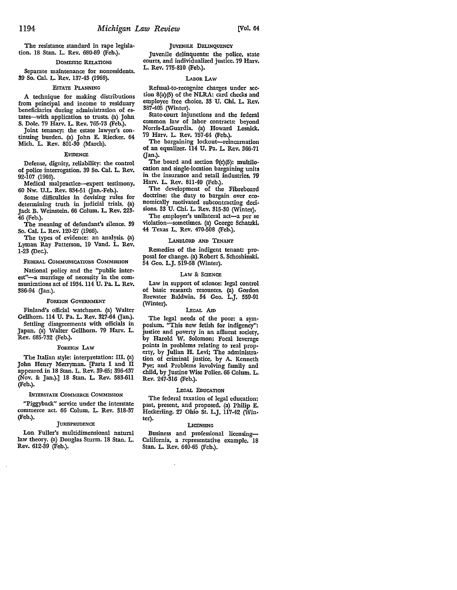The resistance standard in rape legislation. 18 Stan. L. Rev. 680-89 (Feb.).

# DOMESTIC RELATIONS

Separate maintenance for nonresidents. 39 So. Cal. L. Rev. 137-43 (1966).

#### EsTATE PLANNING

A technique for making distributions from principal and income to residuary beneficiaries during administration of estates-with application to trusts. (a) John S. Dole. 79 Harv. L. Rev. 765-73 (Feb.).

Joint tenancy: the estate lawyer's continuing burden. (a) John E. Riecker. 64 Mich, L. Rev. 801-30 (March).

#### EVIDENCE

Defense, dignity, reliability: the control of police interrogation. 39 So. Cal. L. Rev. 92-107 (1966).

Medical malpractice-expert testimony. 60 Nw. U.L. Rev. 834-51 (Jan.-Feb.).

Some difficulties in devising rules for determining truth in judicial trials. (a) Jack B. Weinstein. 66 Colum. L. Rev. 223- 46 (Feb.).

The meaning of defendant's silence. 39 So. Cal. L. Rev. 120-27 (1966).

The types of evidence: an analysis. (a) Lyman Ray Patterson. 19 Vand. L. Rev. 1-23 (Dec.).

#### FEDERAL COMMUNICATIONS COMMISSION

National policy and the "public interest"-a marriage of necessity in the communications act of 1934.114 U. Pa. L. Rev. 386-94 (Jan.).

#### FOREIGN GOVERNMENT

Finland's official watchmen. (a) Walter Gellhorn. 114 U. Pa. L. Rev. 327-64 (Jan.).

Settling disagreements with officials in Japan. (a) Walter Gellhom. 79 Harv. L. Rev. 685-732 (Feb.).

#### FOREIGN LAW

The Italian style: interpretation: III. (a) John Henry Merryman. [Parts I and II appeared in 18 Stan. L. Rev. 39-65; 396-437 (Nov. &: Jan.).] 18 Stan. L. Rev. 583-611 (Feb.).

#### INTERSTATE COMMERCE COMMISSION

"Piggyback" service under the interstate commerce act. 66 Colum. L. Rev. 318-37 (Feb.).

#### **JURISPRUDENCE**

Lon Fuller's multidimensional natural law theory. (a) Douglas Sturm. 18 Stan. L. Rev. 612-39 (Feb.).

JUVENILE DELINQUENCY

Juvenile delinquents: the police, state courts, and individualized justice. 79 Harv. L. Rev. 775-810 (Feb.).

# LABOR LAW

Refusal-to-recognize charges under section 8(a)(5) of the NLRA: card checks and employee free choice. 33 U. Chi. L. Rev. 387-405 (Winter).

State-court injunctions and the federal common law of labor contracts: beyond Norris-LaGuardia. (a) Howard Lesnick. 79 Harv. L. Rev. 757-64 (Feb.).

The bargaining lockout-reincarnation of an equalizer. 114 U. Pa. L. Rev. 366-71 (Jan.).

The board and section  $9(c)(5)$ : multilocation and single-location bargaining units in the insurance and retail industries. 79 Harv. L. Rev. 811-40 (Feb,).

The development of the Fibreboard doctrine: the duty to bargain over economically motivated subcontracting decisions. 33 U. Chi. L. Rev. 315-30 (Winter).

The employer's unilateral act-a per se violation-sometimes. (a) George Schatzki. 44 Texas L, Rev. 470-508 (Feb.).

#### LANDLORD AND TENANT

Remedies of the indigent tenant: pro• posal for change. (a) Robert S. Schoshinski. 54 Geo. L.J. 519-58 (Winter).

#### LAW & SCIENCE

Law in support of science: legal control of basic research resources. (a) Gordon Brewster Baldwin. 54 Geo. L.J. 559-91 (Winter).

# LEGAL Am

The legal needs of the poor: a sym• posium. "This new fetish for indigency": justice and poverty in an afiluent society, by Harold W. Solomon; Focal leverage points in problems relating to real prop• erty, by Julian H. Levi; The administra• tion of criminal justice, by A. Kenneth Pye; and Problems involving family and child, by Justine Wise Polier. 66 Colum. L, Rev. 247-316 (Feb.).

#### LEGAL EDUCATION

The federal taxation of legal education: past, present, and proposed, (a) Philip E. Heckerling. 27 Ohio St. L.J. 117-42 (Win• ter).

# **LICENSING**

Business and professional licensing-California, a representative example. 18 Stan. L. Rev. 640-65 (Feb.).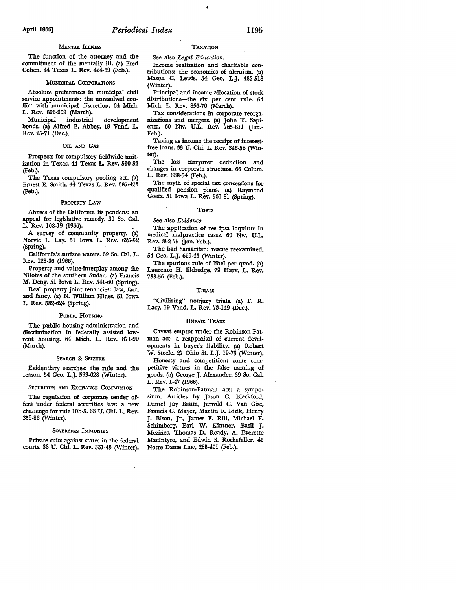# April 1966] *Periodical Index* 1195

# **MENTAL ILLNESS**

The function of the attorney and the commitment of the mentally ill. (a) Fred Cohen. 44 Texas L. Rev. 424-69 (Feb.).

# MUNICIPAL CORPORATIONS

Absolute preferences in municipal civil service appointments: the unresolved conflict with municipal discretion. 64 Mich. L. Rev. 891-909 (March).

Municipal industrial development bonds. (a) Alfred E. Abbey. 19 Vand. L. Rev. 25.71 (Dec.).

# OIL AND GAS

Prospects for compulsory fieldwide unit• ization in Texas. 44 Texas L. Rev. 510-82 (Feb.).

The Texas compulsory pooling act. (a) Ernest E. Smith. 44 Texas L. Rev. 387-423 (Feb.).

#### PROPERTY LAW

Abuses of the California lis pendens: an appeal for legislative remedy. 39 So. Cal. L. Rev. 108-19 (1966).

A survey of community property. (a) Norvie L Lay. 51 Iowa L. Rev. 625-52 (Spring).

California's surface waters. 39 So. Cal. L. Rev. 128-36 (1966).

Property and value-interplay among the Nilotes of the southern Sudan. {a) Francis M. Deng. 51 Iowa L. Rev. 541-60 (Spring).

Real property joint tenancies: law, fact, and fancy. (a) N. William Hines. 51 Iowa L. Rev. 582-624 (Spring).

#### PUBLIC HOUSING

The public housing administration and discrimination in federally assisted lowrent housing. 64 Mich. L. Rev. 871-90 (March).

#### SEARCH &: SEIZURE

Evidentiary searches: the rule and the reason. 54 Geo. L.J. 593-628 (Winter).

#### SECURITIES AND EXCHANGE COMMISSION

The regulation of corporate tender offers under federal securities law: a new challenge for rule IOb-5. 33 U. Chi. L. Rev. 359-86 (\V'inter).

#### SOVEREIGN IMMUNITY

Private suits against states in the federal courts. 33 U. Chi. L. Rev. 331-45 (Winter).

# TAXATION

See also *Legal Education.*  Income realization and charitable contributions: the economics of altruism. (a) Mason C. Lewis. 54 Geo. L.J. 482-518 (Winter).

Principal and income allocation of stock distributions-the six per cent rule. 64 Mich. L. Rev. 856-70 (March).

Tax considerations in corporate reorganizations and mergers. (a) John T. Sapienza. 60 Nw. U.L. Rev. 765-811 (Jan.- Feb.).

Taxing as income the receipt of interestfree loans. 33 U. Chi. L. Rev. 346-58 (Winter).

The loss carryover deduction and changes in corporate structure. 66 Colum. L. Rev. 338-54 (Feb.).

The myth of special tax concessions for qualified pension plans. (a) Raymond Goetz. 51 Iowa L. Rev. 561-81 (Spring).

#### **TORTS**

See also *Evidence* 

The application of res ipsa loquitur in medical malpractice cases. 60 Nw. U.L. Rev. 852-75 (Jan.-Feb.).

The bad Samaritan: rescue reexamined. 54 Geo. L.J. 629-43 (Winter).

The spurious rule of libel per quod. {a) Laurence H. Eldredge. 79 Harv. L. Rev. 733-56 (Feb.).

### TRIALS

"Civilizing" nonjury trials. (a) F. R. Lacy. 19 Vand. L. Rev. 73-149 (Dec.).

#### UNFAIR TRADE

Caveat emptor under the Robinson-Patman act-a reappraisal of current developments in buyer's liability. (a) Robert W. Steele. 27 Ohio St. L.J. 19-75 (Winter). Honesty and competition: some competitive virtues in the false naming of goods. (a) George J. Alexander. 39 So. Cal. L. Rev. 1-47 (1966).

The Robinson-Patman act: a symposium. Articles by Jason C. Blackford, Daniel Jay Baum, Jerrold G. Van Cise, Francis C. Mayer, Martin F. Idzik, Henry J. Bison, Jr., James F. Rill, Michael F. Schimberg, Earl W. Kintner, Basil J. Meziries, Thomas D. Ready, A. Everette MacIntyre, and Edwin S. Rockefeller. 41 Notre Dame Law. 285-401 (Feb.).